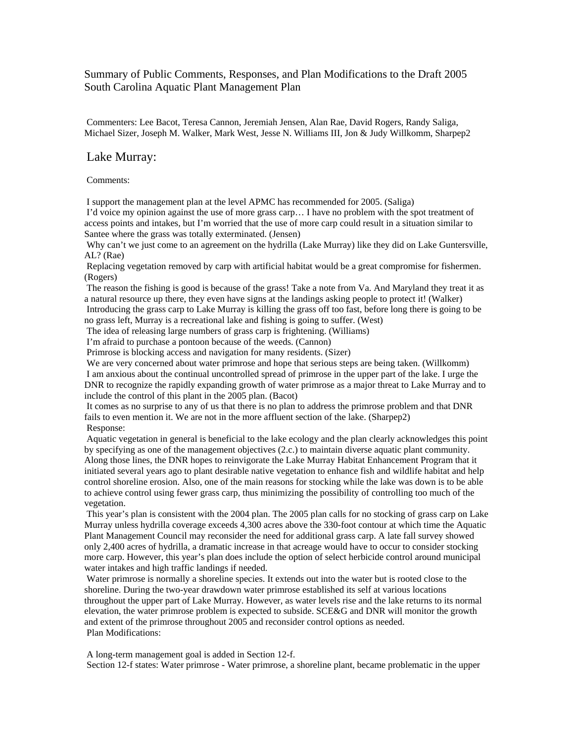## Summary of Public Comments, Responses, and Plan Modifications to the Draft 2005 South Carolina Aquatic Plant Management Plan

 Commenters: Lee Bacot, Teresa Cannon, Jeremiah Jensen, Alan Rae, David Rogers, Randy Saliga, Michael Sizer, Joseph M. Walker, Mark West, Jesse N. Williams III, Jon & Judy Willkomm, Sharpep2

## Lake Murray:

Comments:

I support the management plan at the level APMC has recommended for 2005. (Saliga)

 I'd voice my opinion against the use of more grass carp… I have no problem with the spot treatment of access points and intakes, but I'm worried that the use of more carp could result in a situation similar to Santee where the grass was totally exterminated. (Jensen)

 Why can't we just come to an agreement on the hydrilla (Lake Murray) like they did on Lake Guntersville, AL? (Rae)

 Replacing vegetation removed by carp with artificial habitat would be a great compromise for fishermen. (Rogers)

 The reason the fishing is good is because of the grass! Take a note from Va. And Maryland they treat it as a natural resource up there, they even have signs at the landings asking people to protect it! (Walker) Introducing the grass carp to Lake Murray is killing the grass off too fast, before long there is going to be no grass left, Murray is a recreational lake and fishing is going to suffer. (West)

The idea of releasing large numbers of grass carp is frightening. (Williams)

I'm afraid to purchase a pontoon because of the weeds. (Cannon)

Primrose is blocking access and navigation for many residents. (Sizer)

We are very concerned about water primrose and hope that serious steps are being taken. (Willkomm) I am anxious about the continual uncontrolled spread of primrose in the upper part of the lake. I urge the DNR to recognize the rapidly expanding growth of water primrose as a major threat to Lake Murray and to include the control of this plant in the 2005 plan. (Bacot)

 It comes as no surprise to any of us that there is no plan to address the primrose problem and that DNR fails to even mention it. We are not in the more affluent section of the lake. (Sharpep2) Response:

 Aquatic vegetation in general is beneficial to the lake ecology and the plan clearly acknowledges this point by specifying as one of the management objectives (2.c.) to maintain diverse aquatic plant community. Along those lines, the DNR hopes to reinvigorate the Lake Murray Habitat Enhancement Program that it initiated several years ago to plant desirable native vegetation to enhance fish and wildlife habitat and help control shoreline erosion. Also, one of the main reasons for stocking while the lake was down is to be able to achieve control using fewer grass carp, thus minimizing the possibility of controlling too much of the vegetation.

 This year's plan is consistent with the 2004 plan. The 2005 plan calls for no stocking of grass carp on Lake Murray unless hydrilla coverage exceeds 4,300 acres above the 330-foot contour at which time the Aquatic Plant Management Council may reconsider the need for additional grass carp. A late fall survey showed only 2,400 acres of hydrilla, a dramatic increase in that acreage would have to occur to consider stocking more carp. However, this year's plan does include the option of select herbicide control around municipal water intakes and high traffic landings if needed.

 Water primrose is normally a shoreline species. It extends out into the water but is rooted close to the shoreline. During the two-year drawdown water primrose established its self at various locations throughout the upper part of Lake Murray. However, as water levels rise and the lake returns to its normal elevation, the water primrose problem is expected to subside. SCE&G and DNR will monitor the growth and extent of the primrose throughout 2005 and reconsider control options as needed. Plan Modifications:

 A long-term management goal is added in Section 12-f. Section 12-f states: Water primrose - Water primrose, a shoreline plant, became problematic in the upper